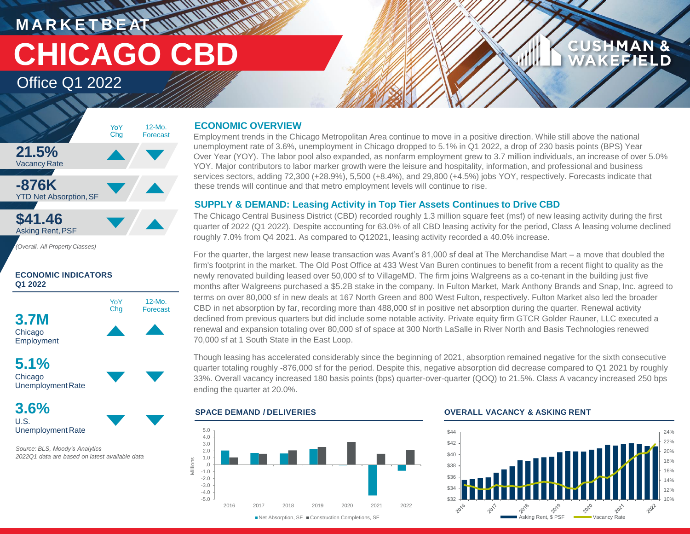**M A R K E T B E AT CHICAGO CBD**

Office Q1 2022



*(Overall, All Property Classes)*

### **ECONOMIC INDICATORS Q1 2022**



**5.1%** Chicago UnemploymentRate

**3.6%** U.S. Unemployment Rate

*Source: BLS, Moody's Analytics 2022Q1 data are based on latest available data*

### **ECONOMIC OVERVIEW**

**HATTA REAL** 

Employment trends in the Chicago Metropolitan Area continue to move in a positive direction. While still above the national unemployment rate of 3.6%, unemployment in Chicago dropped to 5.1% in Q1 2022, a drop of 230 basis points (BPS) Year Over Year (YOY). The labor pool also expanded, as nonfarm employment grew to 3.7 million individuals, an increase of over 5.0% YOY. Major contributors to labor marker growth were the leisure and hospitality, information, and professional and business services sectors, adding 72,300 (+28.9%), 5,500 (+8.4%), and 29,800 (+4.5%) jobs YOY, respectively. Forecasts indicate that these trends will continue and that metro employment levels will continue to rise.

### **SUPPLY & DEMAND: Leasing Activity in Top Tier Assets Continues to Drive CBD**

The Chicago Central Business District (CBD) recorded roughly 1.3 million square feet (msf) of new leasing activity during the first quarter of 2022 (Q1 2022). Despite accounting for 63.0% of all CBD leasing activity for the period, Class A leasing volume declined roughly 7.0% from Q4 2021. As compared to Q12021, leasing activity recorded a 40.0% increase.

For the quarter, the largest new lease transaction was Avant's 81,000 sf deal at The Merchandise Mart – a move that doubled the firm's footprint in the market. The Old Post Office at 433 West Van Buren continues to benefit from a recent flight to quality as the newly renovated building leased over 50,000 sf to VillageMD. The firm joins Walgreens as a co-tenant in the building just five months after Walgreens purchased a \$5.2B stake in the company. In Fulton Market, Mark Anthony Brands and Snap, Inc. agreed to terms on over 80,000 sf in new deals at 167 North Green and 800 West Fulton, respectively. Fulton Market also led the broader CBD in net absorption by far, recording more than 488,000 sf in positive net absorption during the quarter. Renewal activity declined from previous quarters but did include some notable activity. Private equity firm GTCR Golder Rauner, LLC executed a renewal and expansion totaling over 80,000 sf of space at 300 North LaSalle in River North and Basis Technologies renewed 70,000 sf at 1 South State in the East Loop.

Though leasing has accelerated considerably since the beginning of 2021, absorption remained negative for the sixth consecutive quarter totaling roughly -876,000 sf for the period. Despite this, negative absorption did decrease compared to Q1 2021 by roughly 33%. Overall vacancy increased 180 basis points (bps) quarter-over-quarter (QOQ) to 21.5%. Class A vacancy increased 250 bps ending the quarter at 20.0%.



### **SPACE DEMAND / DELIVERIES OVERALL VACANCY & ASKING RENT**



**CUSHMAN &** 

FFIEI D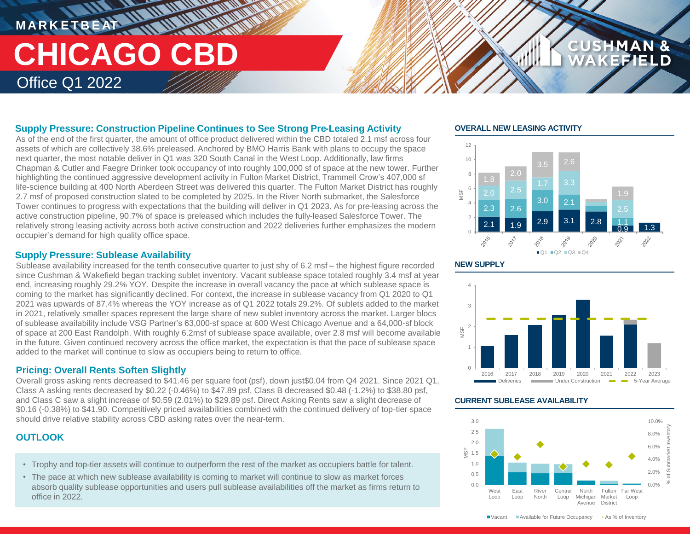### **MARKETBEAT 11 11 11 11 11 11 THE THE UNIVERSITY CHICAGO CBD** Office Q1 2022

### **Supply Pressure: Construction Pipeline Continues to See Strong Pre-Leasing Activity**

As of the end of the first quarter, the amount of office product delivered within the CBD totaled 2.1 msf across four assets of which are collectively 38.6% preleased. Anchored by BMO Harris Bank with plans to occupy the space next quarter, the most notable deliver in Q1 was 320 South Canal in the West Loop. Additionally, law firms Chapman & Cutler and Faegre Drinker took occupancy of into roughly 100,000 sf of space at the new tower. Further highlighting the continued aggressive development activity in Fulton Market District, Trammell Crow's 407,000 sf life-science building at 400 North Aberdeen Street was delivered this quarter. The Fulton Market District has roughly 2.7 msf of proposed construction slated to be completed by 2025. In the River North submarket, the Salesforce Tower continues to progress with expectations that the building will deliver in Q1 2023. As for pre-leasing across the active construction pipeline, 90.7% of space is preleased which includes the fully-leased Salesforce Tower. The relatively strong leasing activity across both active construction and 2022 deliveries further emphasizes the modern occupier's demand for high quality office space.

### **Supply Pressure: Sublease Availability**

Sublease availability increased for the tenth consecutive quarter to just shy of 6.2 msf – the highest figure recorded since Cushman & Wakefield began tracking sublet inventory. Vacant sublease space totaled roughly 3.4 msf at year end, increasing roughly 29.2% YOY. Despite the increase in overall vacancy the pace at which sublease space is coming to the market has significantly declined. For context, the increase in sublease vacancy from Q1 2020 to Q1 2021 was upwards of 87.4% whereas the YOY increase as of Q1 2022 totals 29.2%. Of sublets added to the market in 2021, relatively smaller spaces represent the large share of new sublet inventory across the market. Larger blocs of sublease availability include VSG Partner's 63,000-sf space at 600 West Chicago Avenue and a 64,000-sf block of space at 200 East Randolph. With roughly 6.2msf of sublease space available, over 2.8 msf will become available in the future. Given continued recovery across the office market, the expectation is that the pace of sublease space added to the market will continue to slow as occupiers being to return to office.

### **Pricing: Overall Rents Soften Slightly**

Overall gross asking rents decreased to \$41.46 per square foot (psf), down just\$0.04 from Q4 2021. Since 2021 Q1, Class A asking rents decreased by \$0.22 (-0.46%) to \$47.89 psf, Class B decreased \$0.48 (-1.2%) to \$38.80 psf, and Class C saw a slight increase of \$0.59 (2.01%) to \$29.89 psf. Direct Asking Rents saw a slight decrease of \$0.16 (-0.38%) to \$41.90. Competitively priced availabilities combined with the continued delivery of top-tier space should drive relative stability across CBD asking rates over the near-term.

### **OUTLOOK**

- Trophy and top-tier assets will continue to outperform the rest of the market as occupiers battle for talent.
- The pace at which new sublease availability is coming to market will continue to slow as market forces absorb quality sublease opportunities and users pull sublease availabilities off the market as firms return to office in 2022.

### **OVERALL NEW LEASING ACTIVITY**



**CUSHMAN &** 





### **CURRENT SUBLEASE AVAILABILITY**



■ Vacant Available for Future Occupancy • As % of Inventory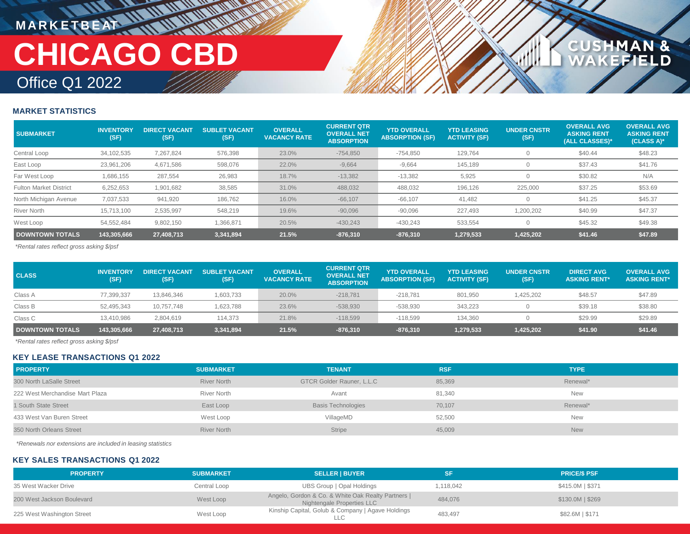### **MARKETBEAT 11 11 11 11 11 11 11 11** Office Q1 2022 **CHICAGO CBD**

## CUSHMAN &<br>WAKEFIELD

### **MARKET STATISTICS**

| <b>SUBMARKET</b>              | <b>INVENTORY</b><br>(SF) | <b>DIRECT VACANT</b><br>(SF) | <b>SUBLET VACANT</b><br>(SF) | <b>OVERALL</b><br><b>VACANCY RATE</b> | <b>CURRENT QTR</b><br><b>OVERALL NET</b><br><b>ABSORPTION</b> | <b>YTD OVERALL</b><br><b>ABSORPTION (SF)</b> | <b>YTD LEASING</b><br><b>ACTIVITY (SF)</b> | <b>UNDER CNSTR</b><br>(SF) | <b>OVERALL AVG</b><br><b>ASKING RENT</b><br>(ALL CLASSES)* | <b>OVERALL AVG</b><br><b>ASKING RENT</b><br>(CLASS A)* |
|-------------------------------|--------------------------|------------------------------|------------------------------|---------------------------------------|---------------------------------------------------------------|----------------------------------------------|--------------------------------------------|----------------------------|------------------------------------------------------------|--------------------------------------------------------|
| Central Loop                  | 34,102,535               | 7,267,824                    | 576,398                      | 23.0%                                 | $-754,850$                                                    | $-754,850$                                   | 129,764                                    |                            | \$40.44                                                    | \$48.23                                                |
| East Loop                     | 23,961,206               | 4,671,586                    | 598,076                      | 22.0%                                 | $-9,664$                                                      | $-9,664$                                     | 145,189                                    |                            | \$37.43                                                    | \$41.76                                                |
| Far West Loop                 | 1,686,155                | 287,554                      | 26,983                       | 18.7%                                 | $-13,382$                                                     | $-13,382$                                    | 5,925                                      |                            | \$30.82                                                    | N/A                                                    |
| <b>Fulton Market District</b> | 6,252,653                | 1,901,682                    | 38,585                       | 31.0%                                 | 488,032                                                       | 488,032                                      | 196,126                                    | 225,000                    | \$37.25                                                    | \$53.69                                                |
| North Michigan Avenue         | 7,037,533                | 941,920                      | 186,762                      | 16.0%                                 | $-66,107$                                                     | $-66,107$                                    | 41.482                                     |                            | \$41.25                                                    | \$45.37                                                |
| <b>River North</b>            | 15,713,100               | 2,535,997                    | 548,219                      | 19.6%                                 | $-90,096$                                                     | $-90,096$                                    | 227,493                                    | .200,202                   | \$40.99                                                    | \$47.37                                                |
| West Loop                     | 54,552,484               | 9,802,150                    | 1,366,871                    | 20.5%                                 | $-430.243$                                                    | $-430,243$                                   | 533.554                                    |                            | \$45.32                                                    | \$49.38                                                |
| <b>DOWNTOWN TOTALS</b>        | 143,305,666              | 27,408,713                   | 3,341,894                    | 21.5%                                 | $-876,310$                                                    | $-876,310$                                   | 1,279,533                                  | 1,425,202                  | \$41.46                                                    | \$47.89                                                |

*\*Rental rates reflect gross asking \$/psf*

| <b>CLASS</b>           | <b>INVENTORY</b><br>(SF) | <b>DIRECT VACANT</b><br>(SF) | <b>SUBLET VACANT</b><br>(SF) | <b>OVERALL</b><br><b>VACANCY RATE</b> | <b>CURRENT QTR</b><br><b>OVERALL NET</b><br><b>ABSORPTION</b> | <b>YTD OVERALL</b><br><b>ABSORPTION (SF)</b> | <b>YTD LEASING</b><br><b>ACTIVITY (SF)</b> | <b>UNDER CNSTR</b><br>(SF) | <b>DIRECT AVG</b><br><b>ASKING RENT*</b> | <b>OVERALL AVG</b><br><b>ASKING RENT*</b> |
|------------------------|--------------------------|------------------------------|------------------------------|---------------------------------------|---------------------------------------------------------------|----------------------------------------------|--------------------------------------------|----------------------------|------------------------------------------|-------------------------------------------|
| Class A                | 77,399,337               | 13.846.346                   | 1,603,733                    | 20.0%                                 | $-218.781$                                                    | $-218.781$                                   | 801,950                                    | .425.202                   | \$48.57                                  | \$47.89                                   |
| Class B                | 52,495,343               | 10,757,748                   | 1,623,788                    | 23.6%                                 | $-538,930$                                                    | $-538,930$                                   | 343.223                                    |                            | \$39.18                                  | \$38.80                                   |
| Class C                | 13,410,986               | 2,804,619                    | 114.373                      | 21.8%                                 | $-118.599$                                                    | $-118.599$                                   | 134.360                                    |                            | \$29.99                                  | \$29.89                                   |
| <b>DOWNTOWN TOTALS</b> | 143,305,666              | 27,408,713                   | 3,341,894                    | 21.5%                                 | $-876,310$                                                    | $-876,310$                                   | 1,279,533                                  | 1,425,202                  | \$41.90                                  | \$41.46                                   |

*\*Rental rates reflect gross asking \$/psf*

### **KEY LEASE TRANSACTIONS Q1 2022**

| <b>PROPERTY</b>                 | <b>SUBMARKET</b>   | <b>TENANT</b>             | <b>RSF</b> | <b>TYPE</b> |
|---------------------------------|--------------------|---------------------------|------------|-------------|
| 300 North LaSalle Street        | <b>River North</b> | GTCR Golder Rauner, L.L.C | 85,369     | Renewal*    |
| 222 West Merchandise Mart Plaza | <b>River North</b> | Avant                     | 81,340     | <b>New</b>  |
| 1 South State Street            | East Loop          | <b>Basis Technologies</b> | 70,107     | Renewal*    |
| 433 West Van Buren Street       | West Loop          | VillageMD                 | 52,500     | <b>New</b>  |
| 350 North Orleans Street        | <b>River North</b> | <b>Stripe</b>             | 45,009     | <b>New</b>  |

*\*Renewals nor extensions are included in leasing statistics*

### **KEY SALES TRANSACTIONS Q1 2022**

| <b>PROPERTY</b>            | <b>SUBMARKET</b> | <b>SELLER   BUYER</b>                                                            |           | <b>PRICE/S PSF</b> |
|----------------------------|------------------|----------------------------------------------------------------------------------|-----------|--------------------|
| 35 West Wacker Drive       | Central Loop     | UBS Group   Opal Holdings                                                        | 1.118.042 | \$415.0M   \$371   |
| 200 West Jackson Boulevard | West Loop        | Angelo, Gordon & Co. & White Oak Realty Partners  <br>Nightengale Properties LLC | 484.076   | $$130.0M$$   \$269 |
| 225 West Washington Street | West Loop        | Kinship Capital, Golub & Company   Agave Holdings                                | 483,497   | \$82.6M   \$171    |